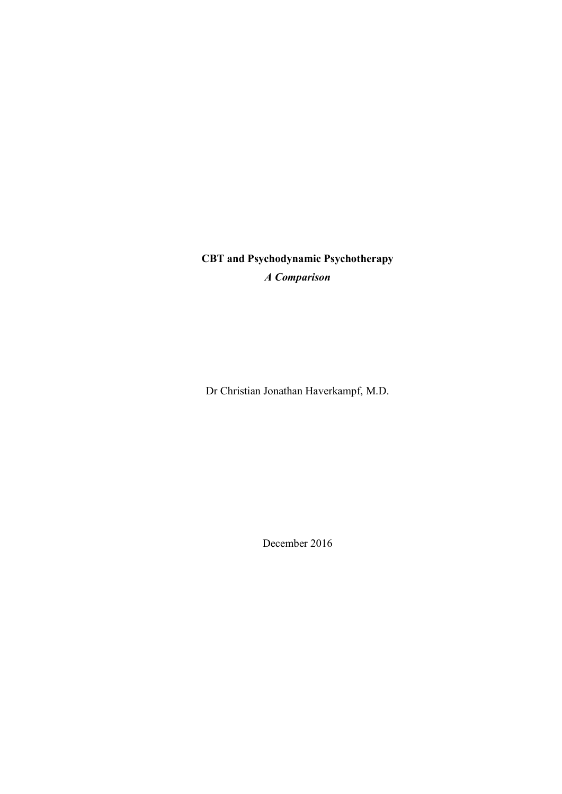CBT and Psychodynamic Psychotherapy A Comparison

Dr Christian Jonathan Haverkampf, M.D.

December 2016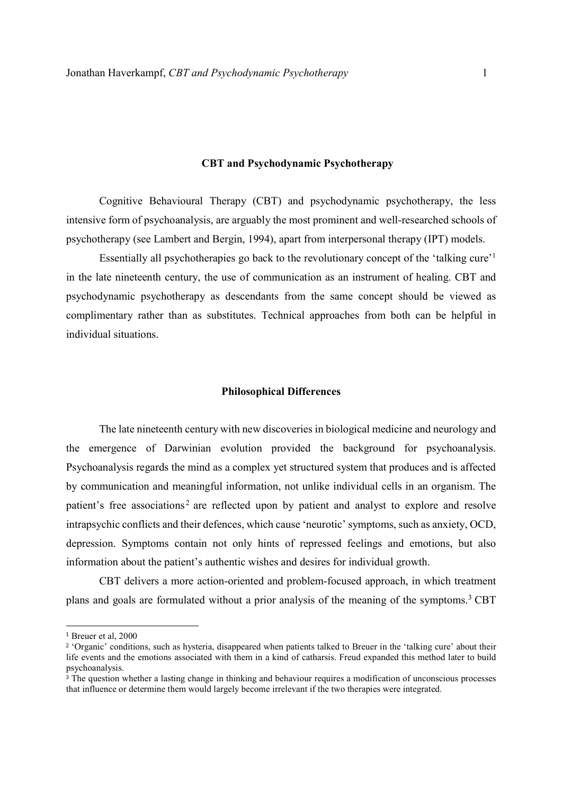### CBT and Psychodynamic Psychotherapy

 Cognitive Behavioural Therapy (CBT) and psychodynamic psychotherapy, the less intensive form of psychoanalysis, are arguably the most prominent and well-researched schools of psychotherapy (see Lambert and Bergin, 1994), apart from interpersonal therapy (IPT) models.

Essentially all psychotherapies go back to the revolutionary concept of the 'talking cure'<sup>1</sup> in the late nineteenth century, the use of communication as an instrument of healing. CBT and psychodynamic psychotherapy as descendants from the same concept should be viewed as complimentary rather than as substitutes. Technical approaches from both can be helpful in individual situations.

#### Philosophical Differences

The late nineteenth century with new discoveries in biological medicine and neurology and the emergence of Darwinian evolution provided the background for psychoanalysis. Psychoanalysis regards the mind as a complex yet structured system that produces and is affected by communication and meaningful information, not unlike individual cells in an organism. The patient's free associations<sup>2</sup> are reflected upon by patient and analyst to explore and resolve intrapsychic conflicts and their defences, which cause 'neurotic' symptoms, such as anxiety, OCD, depression. Symptoms contain not only hints of repressed feelings and emotions, but also information about the patient's authentic wishes and desires for individual growth.

CBT delivers a more action-oriented and problem-focused approach, in which treatment plans and goals are formulated without a prior analysis of the meaning of the symptoms.<sup>3</sup> CBT

<sup>1</sup> Breuer et al, 2000

<sup>&</sup>lt;sup>2</sup> 'Organic' conditions, such as hysteria, disappeared when patients talked to Breuer in the 'talking cure' about their life events and the emotions associated with them in a kind of catharsis. Freud expanded this method later to build psychoanalysis.

<sup>&</sup>lt;sup>3</sup> The question whether a lasting change in thinking and behaviour requires a modification of unconscious processes that influence or determine them would largely become irrelevant if the two therapies were integrated.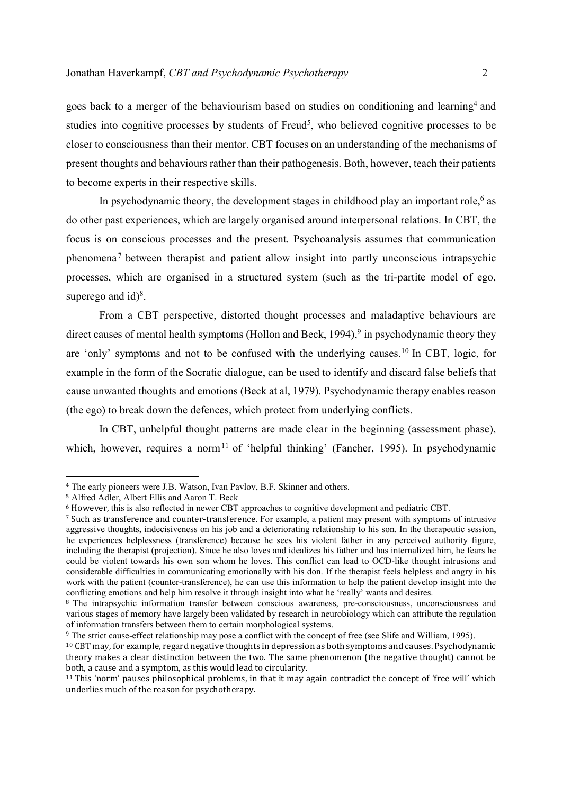goes back to a merger of the behaviourism based on studies on conditioning and learning<sup>4</sup> and studies into cognitive processes by students of Freud<sup>5</sup>, who believed cognitive processes to be closer to consciousness than their mentor. CBT focuses on an understanding of the mechanisms of present thoughts and behaviours rather than their pathogenesis. Both, however, teach their patients to become experts in their respective skills.

In psychodynamic theory, the development stages in childhood play an important role, $6$  as do other past experiences, which are largely organised around interpersonal relations. In CBT, the focus is on conscious processes and the present. Psychoanalysis assumes that communication phenomena<sup>7</sup> between therapist and patient allow insight into partly unconscious intrapsychic processes, which are organised in a structured system (such as the tri-partite model of ego, superego and  $id$ <sup>8</sup>.

From a CBT perspective, distorted thought processes and maladaptive behaviours are direct causes of mental health symptoms (Hollon and Beck, 1994),<sup>9</sup> in psychodynamic theory they are 'only' symptoms and not to be confused with the underlying causes.<sup>10</sup> In CBT, logic, for example in the form of the Socratic dialogue, can be used to identify and discard false beliefs that cause unwanted thoughts and emotions (Beck at al, 1979). Psychodynamic therapy enables reason (the ego) to break down the defences, which protect from underlying conflicts.

In CBT, unhelpful thought patterns are made clear in the beginning (assessment phase), which, however, requires a norm<sup>11</sup> of 'helpful thinking' (Fancher, 1995). In psychodynamic

<sup>4</sup> The early pioneers were J.B. Watson, Ivan Pavlov, B.F. Skinner and others.

<sup>5</sup> Alfred Adler, Albert Ellis and Aaron T. Beck

<sup>6</sup> However, this is also reflected in newer CBT approaches to cognitive development and pediatric CBT.

<sup>7</sup> Such as transference and counter-transference. For example, a patient may present with symptoms of intrusive aggressive thoughts, indecisiveness on his job and a deteriorating relationship to his son. In the therapeutic session, he experiences helplessness (transference) because he sees his violent father in any perceived authority figure, including the therapist (projection). Since he also loves and idealizes his father and has internalized him, he fears he could be violent towards his own son whom he loves. This conflict can lead to OCD-like thought intrusions and considerable difficulties in communicating emotionally with his don. If the therapist feels helpless and angry in his work with the patient (counter-transference), he can use this information to help the patient develop insight into the conflicting emotions and help him resolve it through insight into what he 'really' wants and desires.

<sup>&</sup>lt;sup>8</sup> The intrapsychic information transfer between conscious awareness, pre-consciousness, unconsciousness and various stages of memory have largely been validated by research in neurobiology which can attribute the regulation of information transfers between them to certain morphological systems.

<sup>9</sup> The strict cause-effect relationship may pose a conflict with the concept of free (see Slife and William, 1995).

<sup>10</sup> CBT may, for example, regard negative thoughts in depression as both symptoms and causes. Psychodynamic theory makes a clear distinction between the two. The same phenomenon (the negative thought) cannot be both, a cause and a symptom, as this would lead to circularity.

<sup>11</sup> This 'norm' pauses philosophical problems, in that it may again contradict the concept of 'free will' which underlies much of the reason for psychotherapy.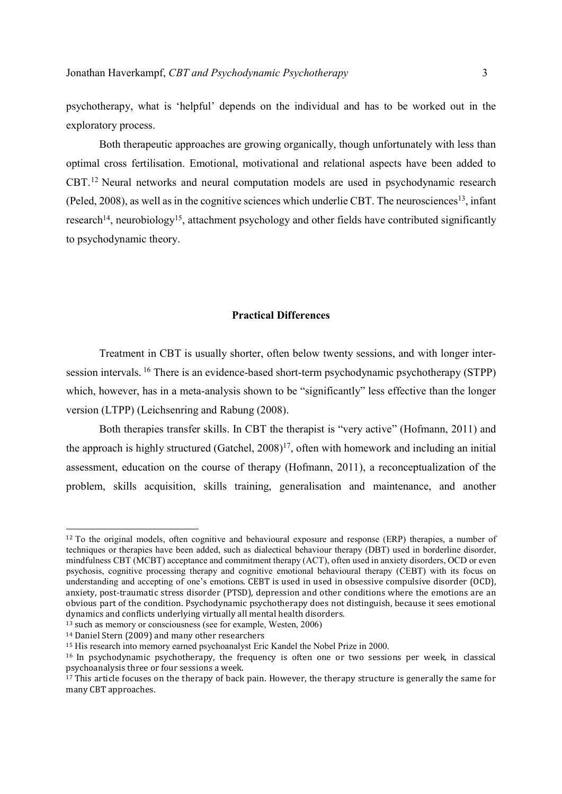psychotherapy, what is 'helpful' depends on the individual and has to be worked out in the exploratory process.

Both therapeutic approaches are growing organically, though unfortunately with less than optimal cross fertilisation. Emotional, motivational and relational aspects have been added to CBT.<sup>12</sup> Neural networks and neural computation models are used in psychodynamic research (Peled, 2008), as well as in the cognitive sciences which underlie CBT. The neurosciences<sup>13</sup>, infant research<sup>14</sup>, neurobiology<sup>15</sup>, attachment psychology and other fields have contributed significantly to psychodynamic theory.

### Practical Differences

Treatment in CBT is usually shorter, often below twenty sessions, and with longer intersession intervals.<sup>16</sup> There is an evidence-based short-term psychodynamic psychotherapy (STPP) which, however, has in a meta-analysis shown to be "significantly" less effective than the longer version (LTPP) (Leichsenring and Rabung (2008).

Both therapies transfer skills. In CBT the therapist is "very active" (Hofmann, 2011) and the approach is highly structured (Gatchel,  $2008$ )<sup>17</sup>, often with homework and including an initial assessment, education on the course of therapy (Hofmann, 2011), a reconceptualization of the problem, skills acquisition, skills training, generalisation and maintenance, and another

-

<sup>12</sup> To the original models, often cognitive and behavioural exposure and response (ERP) therapies, a number of techniques or therapies have been added, such as dialectical behaviour therapy (DBT) used in borderline disorder, mindfulness CBT (MCBT) acceptance and commitment therapy (ACT), often used in anxiety disorders, OCD or even psychosis, cognitive processing therapy and cognitive emotional behavioural therapy (CEBT) with its focus on understanding and accepting of one's emotions. CEBT is used in used in obsessive compulsive disorder (OCD), anxiety, post-traumatic stress disorder (PTSD), depression and other conditions where the emotions are an obvious part of the condition. Psychodynamic psychotherapy does not distinguish, because it sees emotional dynamics and conflicts underlying virtually all mental health disorders.

<sup>13</sup> such as memory or consciousness (see for example, Westen, 2006)

<sup>14</sup> Daniel Stern (2009) and many other researchers

<sup>15</sup> His research into memory earned psychoanalyst Eric Kandel the Nobel Prize in 2000.

<sup>16</sup> In psychodynamic psychotherapy, the frequency is often one or two sessions per week, in classical psychoanalysis three or four sessions a week.

<sup>&</sup>lt;sup>17</sup> This article focuses on the therapy of back pain. However, the therapy structure is generally the same for many CBT approaches.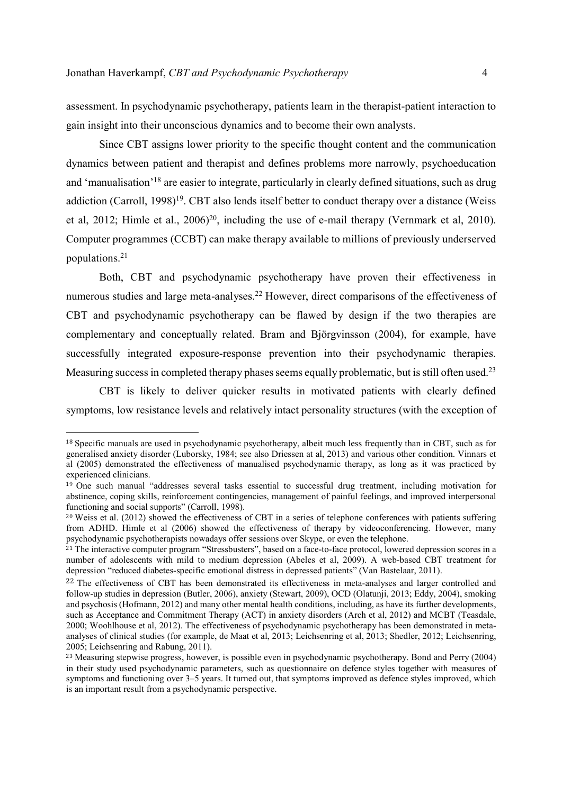$\overline{a}$ 

assessment. In psychodynamic psychotherapy, patients learn in the therapist-patient interaction to gain insight into their unconscious dynamics and to become their own analysts.

Since CBT assigns lower priority to the specific thought content and the communication dynamics between patient and therapist and defines problems more narrowly, psychoeducation and 'manualisation'<sup>18</sup> are easier to integrate, particularly in clearly defined situations, such as drug addiction (Carroll, 1998)<sup>19</sup>. CBT also lends itself better to conduct therapy over a distance (Weiss et al, 2012; Himle et al., 2006)<sup>20</sup>, including the use of e-mail therapy (Vernmark et al, 2010). Computer programmes (CCBT) can make therapy available to millions of previously underserved populations.<sup>21</sup>

Both, CBT and psychodynamic psychotherapy have proven their effectiveness in numerous studies and large meta-analyses.<sup>22</sup> However, direct comparisons of the effectiveness of CBT and psychodynamic psychotherapy can be flawed by design if the two therapies are complementary and conceptually related. Bram and Björgvinsson (2004), for example, have successfully integrated exposure-response prevention into their psychodynamic therapies. Measuring success in completed therapy phases seems equally problematic, but is still often used.<sup>23</sup>

CBT is likely to deliver quicker results in motivated patients with clearly defined symptoms, low resistance levels and relatively intact personality structures (with the exception of

<sup>18</sup> Specific manuals are used in psychodynamic psychotherapy, albeit much less frequently than in CBT, such as for generalised anxiety disorder (Luborsky, 1984; see also Driessen at al, 2013) and various other condition. Vinnars et al (2005) demonstrated the effectiveness of manualised psychodynamic therapy, as long as it was practiced by experienced clinicians.

<sup>19</sup> One such manual "addresses several tasks essential to successful drug treatment, including motivation for abstinence, coping skills, reinforcement contingencies, management of painful feelings, and improved interpersonal functioning and social supports" (Carroll, 1998).

<sup>&</sup>lt;sup>20</sup> Weiss et al. (2012) showed the effectiveness of CBT in a series of telephone conferences with patients suffering from ADHD. Himle et al (2006) showed the effectiveness of therapy by videoconferencing. However, many psychodynamic psychotherapists nowadays offer sessions over Skype, or even the telephone.

<sup>&</sup>lt;sup>21</sup> The interactive computer program "Stressbusters", based on a face-to-face protocol, lowered depression scores in a number of adolescents with mild to medium depression (Abeles et al, 2009). A web-based CBT treatment for depression "reduced diabetes-specific emotional distress in depressed patients" (Van Bastelaar, 2011).

<sup>&</sup>lt;sup>22</sup> The effectiveness of CBT has been demonstrated its effectiveness in meta-analyses and larger controlled and follow-up studies in depression (Butler, 2006), anxiety (Stewart, 2009), OCD (Olatunji, 2013; Eddy, 2004), smoking and psychosis (Hofmann, 2012) and many other mental health conditions, including, as have its further developments, such as Acceptance and Commitment Therapy (ACT) in anxiety disorders (Arch et al, 2012) and MCBT (Teasdale, 2000; Woohlhouse et al, 2012). The effectiveness of psychodynamic psychotherapy has been demonstrated in metaanalyses of clinical studies (for example, de Maat et al, 2013; Leichsenring et al, 2013; Shedler, 2012; Leichsenring, 2005; Leichsenring and Rabung, 2011).

<sup>&</sup>lt;sup>23</sup> Measuring stepwise progress, however, is possible even in psychodynamic psychotherapy. Bond and Perry (2004) in their study used psychodynamic parameters, such as questionnaire on defence styles together with measures of symptoms and functioning over 3–5 years. It turned out, that symptoms improved as defence styles improved, which is an important result from a psychodynamic perspective.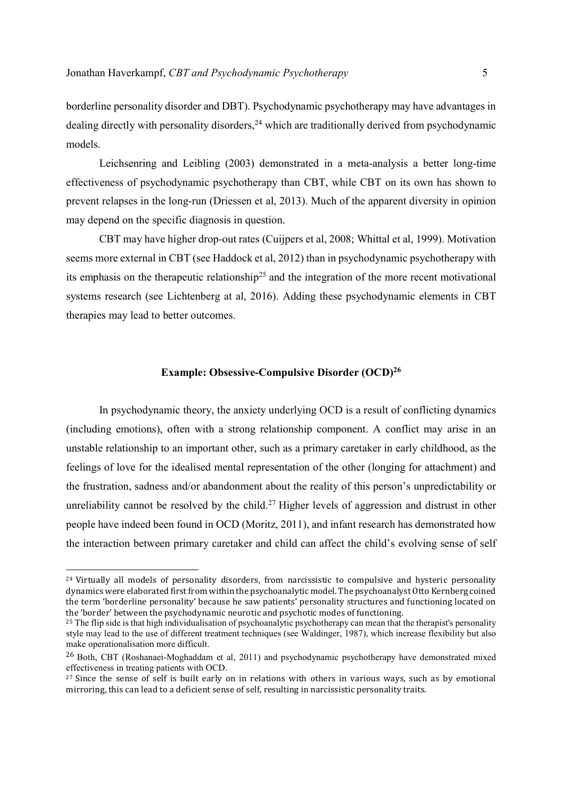borderline personality disorder and DBT). Psychodynamic psychotherapy may have advantages in dealing directly with personality disorders,<sup>24</sup> which are traditionally derived from psychodynamic models.

Leichsenring and Leibling (2003) demonstrated in a meta-analysis a better long-time effectiveness of psychodynamic psychotherapy than CBT, while CBT on its own has shown to prevent relapses in the long-run (Driessen et al, 2013). Much of the apparent diversity in opinion may depend on the specific diagnosis in question.

CBT may have higher drop-out rates (Cuijpers et al, 2008; Whittal et al, 1999). Motivation seems more external in CBT (see Haddock et al, 2012) than in psychodynamic psychotherapy with its emphasis on the therapeutic relationship<sup>25</sup> and the integration of the more recent motivational systems research (see Lichtenberg at al, 2016). Adding these psychodynamic elements in CBT therapies may lead to better outcomes.

# Example: Obsessive-Compulsive Disorder (OCD)<sup>26</sup>

In psychodynamic theory, the anxiety underlying OCD is a result of conflicting dynamics (including emotions), often with a strong relationship component. A conflict may arise in an unstable relationship to an important other, such as a primary caretaker in early childhood, as the feelings of love for the idealised mental representation of the other (longing for attachment) and the frustration, sadness and/or abandonment about the reality of this person's unpredictability or unreliability cannot be resolved by the child.<sup>27</sup> Higher levels of aggression and distrust in other people have indeed been found in OCD (Moritz, 2011), and infant research has demonstrated how the interaction between primary caretaker and child can affect the child's evolving sense of self

<sup>&</sup>lt;sup>24</sup> Virtually all models of personality disorders, from narcissistic to compulsive and hysteric personality dynamics were elaborated first from within the psychoanalytic model. The psychoanalyst Otto Kernberg coined the term 'borderline personality' because he saw patients' personality structures and functioning located on the 'border' between the psychodynamic neurotic and psychotic modes of functioning.

<sup>&</sup>lt;sup>25</sup> The flip side is that high individualisation of psychoanalytic psychotherapy can mean that the therapist's personality style may lead to the use of different treatment techniques (see Waldinger, 1987), which increase flexibility but also make operationalisation more difficult.

<sup>26</sup> Both, CBT (Roshanaei-Moghaddam et al, 2011) and psychodynamic psychotherapy have demonstrated mixed effectiveness in treating patients with OCD.

<sup>&</sup>lt;sup>27</sup> Since the sense of self is built early on in relations with others in various ways, such as by emotional mirroring, this can lead to a deficient sense of self, resulting in narcissistic personality traits.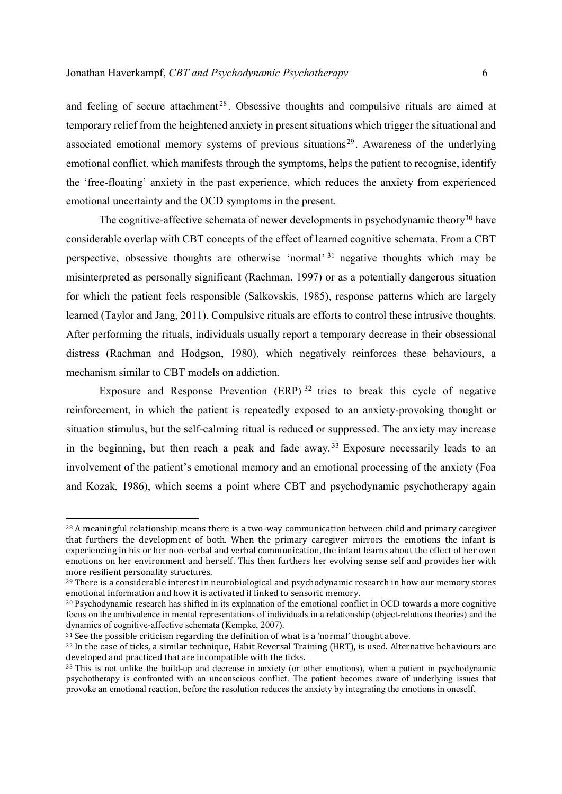and feeling of secure attachment<sup>28</sup>. Obsessive thoughts and compulsive rituals are aimed at temporary relief from the heightened anxiety in present situations which trigger the situational and associated emotional memory systems of previous situations<sup>29</sup>. Awareness of the underlying emotional conflict, which manifests through the symptoms, helps the patient to recognise, identify the 'free-floating' anxiety in the past experience, which reduces the anxiety from experienced emotional uncertainty and the OCD symptoms in the present.

The cognitive-affective schemata of newer developments in psychodynamic theory<sup>30</sup> have considerable overlap with CBT concepts of the effect of learned cognitive schemata. From a CBT perspective, obsessive thoughts are otherwise 'normal' <sup>31</sup> negative thoughts which may be misinterpreted as personally significant (Rachman, 1997) or as a potentially dangerous situation for which the patient feels responsible (Salkovskis, 1985), response patterns which are largely learned (Taylor and Jang, 2011). Compulsive rituals are efforts to control these intrusive thoughts. After performing the rituals, individuals usually report a temporary decrease in their obsessional distress (Rachman and Hodgson, 1980), which negatively reinforces these behaviours, a mechanism similar to CBT models on addiction.

Exposure and Response Prevention  $(ERP)^{32}$  tries to break this cycle of negative reinforcement, in which the patient is repeatedly exposed to an anxiety-provoking thought or situation stimulus, but the self-calming ritual is reduced or suppressed. The anxiety may increase in the beginning, but then reach a peak and fade away.<sup>33</sup> Exposure necessarily leads to an involvement of the patient's emotional memory and an emotional processing of the anxiety (Foa and Kozak, 1986), which seems a point where CBT and psychodynamic psychotherapy again

-

<sup>28</sup> A meaningful relationship means there is a two-way communication between child and primary caregiver that furthers the development of both. When the primary caregiver mirrors the emotions the infant is experiencing in his or her non-verbal and verbal communication, the infant learns about the effect of her own emotions on her environment and herself. This then furthers her evolving sense self and provides her with more resilient personality structures.

<sup>&</sup>lt;sup>29</sup> There is a considerable interest in neurobiological and psychodynamic research in how our memory stores emotional information and how it is activated if linked to sensoric memory.

<sup>30</sup> Psychodynamic research has shifted in its explanation of the emotional conflict in OCD towards a more cognitive focus on the ambivalence in mental representations of individuals in a relationship (object-relations theories) and the dynamics of cognitive-affective schemata (Kempke, 2007).

 $31$  See the possible criticism regarding the definition of what is a 'normal' thought above.

<sup>&</sup>lt;sup>32</sup> In the case of ticks, a similar technique, Habit Reversal Training (HRT), is used. Alternative behaviours are developed and practiced that are incompatible with the ticks.

<sup>&</sup>lt;sup>33</sup> This is not unlike the build-up and decrease in anxiety (or other emotions), when a patient in psychodynamic psychotherapy is confronted with an unconscious conflict. The patient becomes aware of underlying issues that provoke an emotional reaction, before the resolution reduces the anxiety by integrating the emotions in oneself.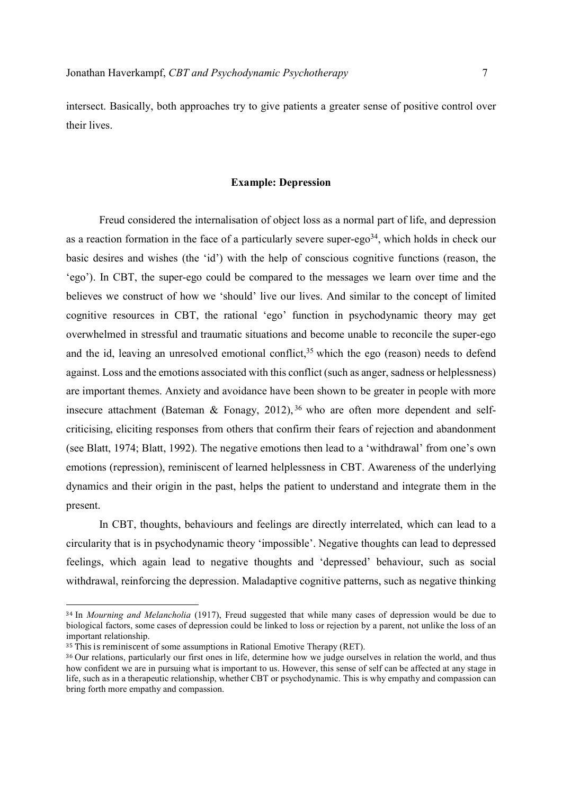intersect. Basically, both approaches try to give patients a greater sense of positive control over their lives.

### Example: Depression

 Freud considered the internalisation of object loss as a normal part of life, and depression as a reaction formation in the face of a particularly severe super-ego<sup>34</sup>, which holds in check our basic desires and wishes (the 'id') with the help of conscious cognitive functions (reason, the 'ego'). In CBT, the super-ego could be compared to the messages we learn over time and the believes we construct of how we 'should' live our lives. And similar to the concept of limited cognitive resources in CBT, the rational 'ego' function in psychodynamic theory may get overwhelmed in stressful and traumatic situations and become unable to reconcile the super-ego and the id, leaving an unresolved emotional conflict,  $35$  which the ego (reason) needs to defend against. Loss and the emotions associated with this conflict (such as anger, sadness or helplessness) are important themes. Anxiety and avoidance have been shown to be greater in people with more insecure attachment (Bateman & Fonagy, 2012),  $36$  who are often more dependent and selfcriticising, eliciting responses from others that confirm their fears of rejection and abandonment (see Blatt, 1974; Blatt, 1992). The negative emotions then lead to a 'withdrawal' from one's own emotions (repression), reminiscent of learned helplessness in CBT. Awareness of the underlying dynamics and their origin in the past, helps the patient to understand and integrate them in the present.

 In CBT, thoughts, behaviours and feelings are directly interrelated, which can lead to a circularity that is in psychodynamic theory 'impossible'. Negative thoughts can lead to depressed feelings, which again lead to negative thoughts and 'depressed' behaviour, such as social withdrawal, reinforcing the depression. Maladaptive cognitive patterns, such as negative thinking

<sup>&</sup>lt;sup>34</sup> In *Mourning and Melancholia* (1917), Freud suggested that while many cases of depression would be due to biological factors, some cases of depression could be linked to loss or rejection by a parent, not unlike the loss of an important relationship.

 $35$  This is reminiscent of some assumptions in Rational Emotive Therapy (RET).

<sup>&</sup>lt;sup>36</sup> Our relations, particularly our first ones in life, determine how we judge ourselves in relation the world, and thus how confident we are in pursuing what is important to us. However, this sense of self can be affected at any stage in life, such as in a therapeutic relationship, whether CBT or psychodynamic. This is why empathy and compassion can bring forth more empathy and compassion.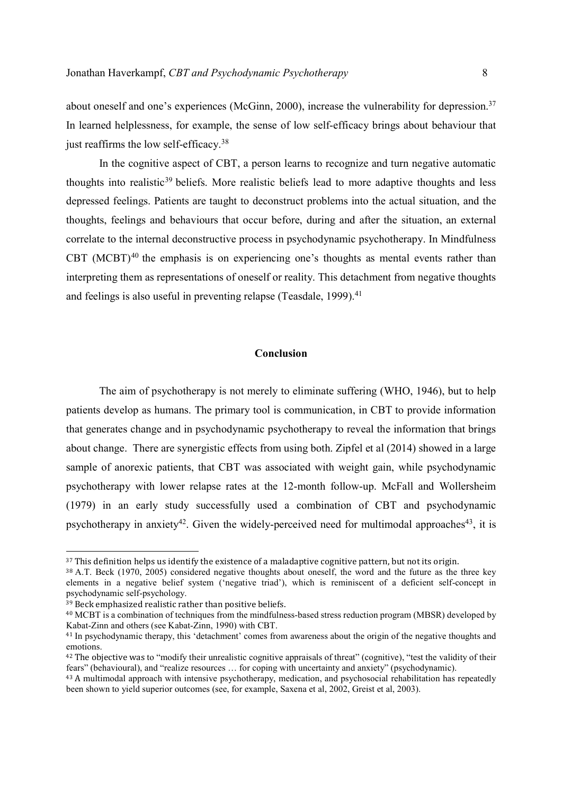about oneself and one's experiences (McGinn, 2000), increase the vulnerability for depression.<sup>37</sup> In learned helplessness, for example, the sense of low self-efficacy brings about behaviour that just reaffirms the low self-efficacy.<sup>38</sup>

In the cognitive aspect of CBT, a person learns to recognize and turn negative automatic thoughts into realistic<sup>39</sup> beliefs. More realistic beliefs lead to more adaptive thoughts and less depressed feelings. Patients are taught to deconstruct problems into the actual situation, and the thoughts, feelings and behaviours that occur before, during and after the situation, an external correlate to the internal deconstructive process in psychodynamic psychotherapy. In Mindfulness CBT (MCBT) $40$  the emphasis is on experiencing one's thoughts as mental events rather than interpreting them as representations of oneself or reality. This detachment from negative thoughts and feelings is also useful in preventing relapse (Teasdale, 1999).<sup>41</sup>

# Conclusion

The aim of psychotherapy is not merely to eliminate suffering (WHO, 1946), but to help patients develop as humans. The primary tool is communication, in CBT to provide information that generates change and in psychodynamic psychotherapy to reveal the information that brings about change. There are synergistic effects from using both. Zipfel et al (2014) showed in a large sample of anorexic patients, that CBT was associated with weight gain, while psychodynamic psychotherapy with lower relapse rates at the 12-month follow-up. McFall and Wollersheim (1979) in an early study successfully used a combination of CBT and psychodynamic psychotherapy in anxiety<sup>42</sup>. Given the widely-perceived need for multimodal approaches<sup>43</sup>, it is

 $37$  This definition helps us identify the existence of a maladaptive cognitive pattern, but not its origin.

<sup>38</sup> A.T. Beck (1970, 2005) considered negative thoughts about oneself, the word and the future as the three key elements in a negative belief system ('negative triad'), which is reminiscent of a deficient self-concept in psychodynamic self-psychology.

<sup>39</sup> Beck emphasized realistic rather than positive beliefs.

<sup>40</sup> MCBT is a combination of techniques from the mindfulness-based stress reduction program (MBSR) developed by Kabat-Zinn and others (see Kabat-Zinn, 1990) with CBT.

<sup>&</sup>lt;sup>41</sup> In psychodynamic therapy, this 'detachment' comes from awareness about the origin of the negative thoughts and emotions.

<sup>&</sup>lt;sup>42</sup> The objective was to "modify their unrealistic cognitive appraisals of threat" (cognitive), "test the validity of their fears" (behavioural), and "realize resources … for coping with uncertainty and anxiety" (psychodynamic).

<sup>&</sup>lt;sup>43</sup> A multimodal approach with intensive psychotherapy, medication, and psychosocial rehabilitation has repeatedly been shown to yield superior outcomes (see, for example, Saxena et al, 2002, Greist et al, 2003).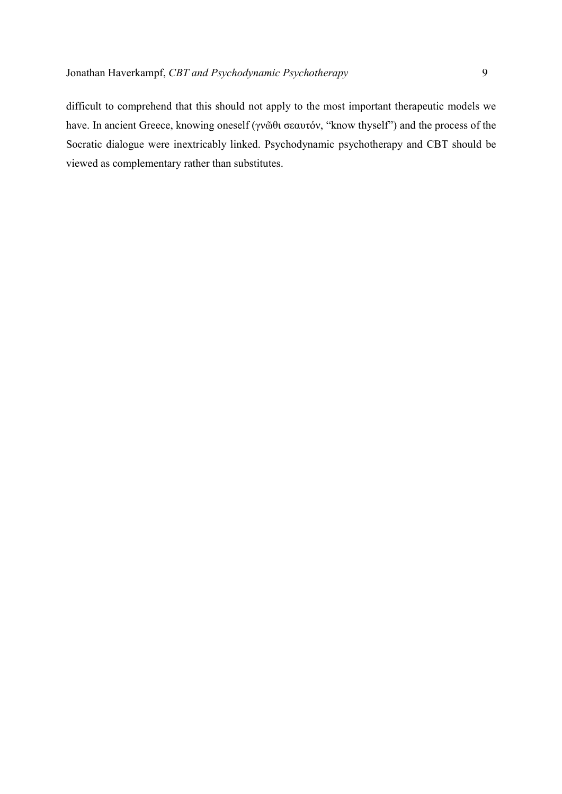difficult to comprehend that this should not apply to the most important therapeutic models we have. In ancient Greece, knowing oneself (γνῶθι σεαυτόν, "know thyself") and the process of the Socratic dialogue were inextricably linked. Psychodynamic psychotherapy and CBT should be viewed as complementary rather than substitutes.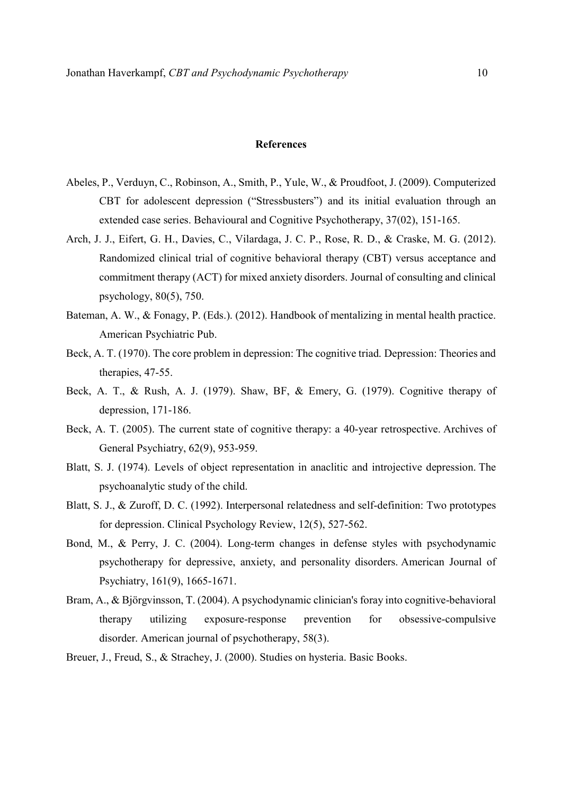# References

- Abeles, P., Verduyn, C., Robinson, A., Smith, P., Yule, W., & Proudfoot, J. (2009). Computerized CBT for adolescent depression ("Stressbusters") and its initial evaluation through an extended case series. Behavioural and Cognitive Psychotherapy, 37(02), 151-165.
- Arch, J. J., Eifert, G. H., Davies, C., Vilardaga, J. C. P., Rose, R. D., & Craske, M. G. (2012). Randomized clinical trial of cognitive behavioral therapy (CBT) versus acceptance and commitment therapy (ACT) for mixed anxiety disorders. Journal of consulting and clinical psychology, 80(5), 750.
- Bateman, A. W., & Fonagy, P. (Eds.). (2012). Handbook of mentalizing in mental health practice. American Psychiatric Pub.
- Beck, A. T. (1970). The core problem in depression: The cognitive triad. Depression: Theories and therapies, 47-55.
- Beck, A. T., & Rush, A. J. (1979). Shaw, BF, & Emery, G. (1979). Cognitive therapy of depression, 171-186.
- Beck, A. T. (2005). The current state of cognitive therapy: a 40-year retrospective. Archives of General Psychiatry, 62(9), 953-959.
- Blatt, S. J. (1974). Levels of object representation in anaclitic and introjective depression. The psychoanalytic study of the child.
- Blatt, S. J., & Zuroff, D. C. (1992). Interpersonal relatedness and self-definition: Two prototypes for depression. Clinical Psychology Review, 12(5), 527-562.
- Bond, M., & Perry, J. C. (2004). Long-term changes in defense styles with psychodynamic psychotherapy for depressive, anxiety, and personality disorders. American Journal of Psychiatry, 161(9), 1665-1671.
- Bram, A., & Björgvinsson, T. (2004). A psychodynamic clinician's foray into cognitive-behavioral therapy utilizing exposure-response prevention for obsessive-compulsive disorder. American journal of psychotherapy, 58(3).
- Breuer, J., Freud, S., & Strachey, J. (2000). Studies on hysteria. Basic Books.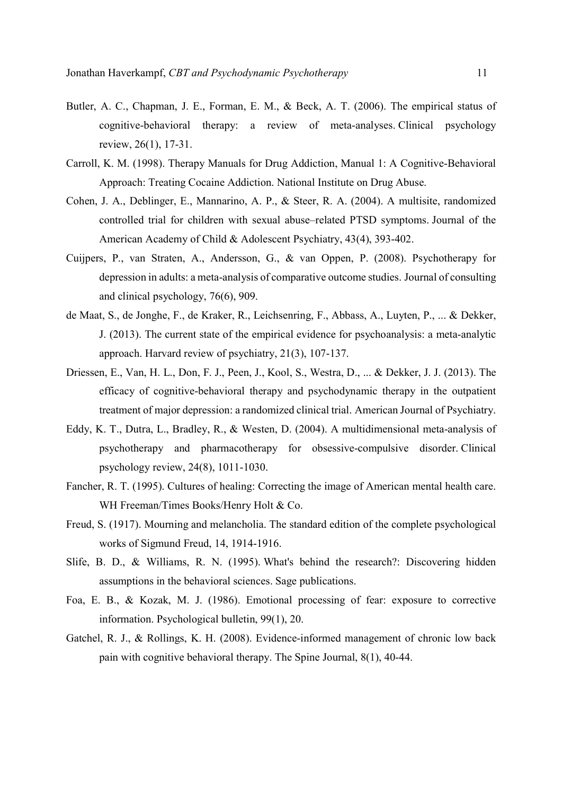- Butler, A. C., Chapman, J. E., Forman, E. M., & Beck, A. T. (2006). The empirical status of cognitive-behavioral therapy: a review of meta-analyses. Clinical psychology review, 26(1), 17-31.
- Carroll, K. M. (1998). Therapy Manuals for Drug Addiction, Manual 1: A Cognitive-Behavioral Approach: Treating Cocaine Addiction. National Institute on Drug Abuse.
- Cohen, J. A., Deblinger, E., Mannarino, A. P., & Steer, R. A. (2004). A multisite, randomized controlled trial for children with sexual abuse–related PTSD symptoms. Journal of the American Academy of Child & Adolescent Psychiatry, 43(4), 393-402.
- Cuijpers, P., van Straten, A., Andersson, G., & van Oppen, P. (2008). Psychotherapy for depression in adults: a meta-analysis of comparative outcome studies. Journal of consulting and clinical psychology, 76(6), 909.
- de Maat, S., de Jonghe, F., de Kraker, R., Leichsenring, F., Abbass, A., Luyten, P., ... & Dekker, J. (2013). The current state of the empirical evidence for psychoanalysis: a meta-analytic approach. Harvard review of psychiatry, 21(3), 107-137.
- Driessen, E., Van, H. L., Don, F. J., Peen, J., Kool, S., Westra, D., ... & Dekker, J. J. (2013). The efficacy of cognitive-behavioral therapy and psychodynamic therapy in the outpatient treatment of major depression: a randomized clinical trial. American Journal of Psychiatry.
- Eddy, K. T., Dutra, L., Bradley, R., & Westen, D. (2004). A multidimensional meta-analysis of psychotherapy and pharmacotherapy for obsessive-compulsive disorder. Clinical psychology review, 24(8), 1011-1030.
- Fancher, R. T. (1995). Cultures of healing: Correcting the image of American mental health care. WH Freeman/Times Books/Henry Holt & Co.
- Freud, S. (1917). Mourning and melancholia. The standard edition of the complete psychological works of Sigmund Freud, 14, 1914-1916.
- Slife, B. D., & Williams, R. N. (1995). What's behind the research?: Discovering hidden assumptions in the behavioral sciences. Sage publications.
- Foa, E. B., & Kozak, M. J. (1986). Emotional processing of fear: exposure to corrective information. Psychological bulletin, 99(1), 20.
- Gatchel, R. J., & Rollings, K. H. (2008). Evidence-informed management of chronic low back pain with cognitive behavioral therapy. The Spine Journal, 8(1), 40-44.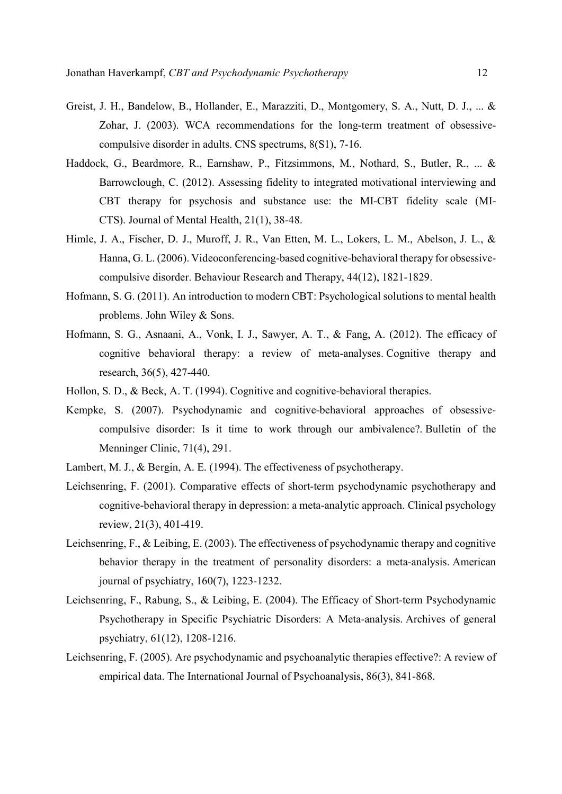- Greist, J. H., Bandelow, B., Hollander, E., Marazziti, D., Montgomery, S. A., Nutt, D. J., ... & Zohar, J. (2003). WCA recommendations for the long-term treatment of obsessivecompulsive disorder in adults. CNS spectrums, 8(S1), 7-16.
- Haddock, G., Beardmore, R., Earnshaw, P., Fitzsimmons, M., Nothard, S., Butler, R., ... & Barrowclough, C. (2012). Assessing fidelity to integrated motivational interviewing and CBT therapy for psychosis and substance use: the MI-CBT fidelity scale (MI-CTS). Journal of Mental Health, 21(1), 38-48.
- Himle, J. A., Fischer, D. J., Muroff, J. R., Van Etten, M. L., Lokers, L. M., Abelson, J. L., & Hanna, G. L. (2006). Videoconferencing-based cognitive-behavioral therapy for obsessivecompulsive disorder. Behaviour Research and Therapy, 44(12), 1821-1829.
- Hofmann, S. G. (2011). An introduction to modern CBT: Psychological solutions to mental health problems. John Wiley & Sons.
- Hofmann, S. G., Asnaani, A., Vonk, I. J., Sawyer, A. T., & Fang, A. (2012). The efficacy of cognitive behavioral therapy: a review of meta-analyses. Cognitive therapy and research, 36(5), 427-440.
- Hollon, S. D., & Beck, A. T. (1994). Cognitive and cognitive-behavioral therapies.
- Kempke, S. (2007). Psychodynamic and cognitive-behavioral approaches of obsessivecompulsive disorder: Is it time to work through our ambivalence?. Bulletin of the Menninger Clinic, 71(4), 291.
- Lambert, M. J., & Bergin, A. E. (1994). The effectiveness of psychotherapy.
- Leichsenring, F. (2001). Comparative effects of short-term psychodynamic psychotherapy and cognitive-behavioral therapy in depression: a meta-analytic approach. Clinical psychology review, 21(3), 401-419.
- Leichsenring, F., & Leibing, E. (2003). The effectiveness of psychodynamic therapy and cognitive behavior therapy in the treatment of personality disorders: a meta-analysis. American journal of psychiatry, 160(7), 1223-1232.
- Leichsenring, F., Rabung, S., & Leibing, E. (2004). The Efficacy of Short-term Psychodynamic Psychotherapy in Specific Psychiatric Disorders: A Meta-analysis. Archives of general psychiatry, 61(12), 1208-1216.
- Leichsenring, F. (2005). Are psychodynamic and psychoanalytic therapies effective?: A review of empirical data. The International Journal of Psychoanalysis, 86(3), 841-868.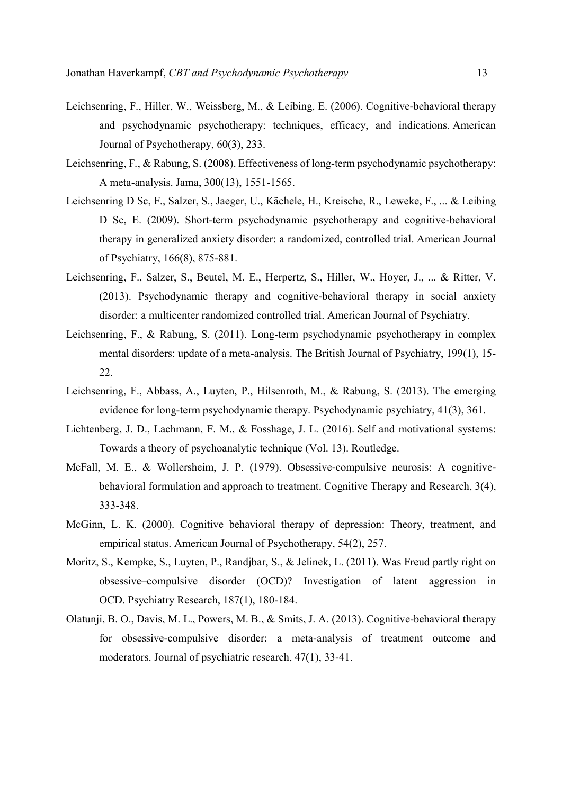- Leichsenring, F., Hiller, W., Weissberg, M., & Leibing, E. (2006). Cognitive-behavioral therapy and psychodynamic psychotherapy: techniques, efficacy, and indications. American Journal of Psychotherapy, 60(3), 233.
- Leichsenring, F., & Rabung, S. (2008). Effectiveness of long-term psychodynamic psychotherapy: A meta-analysis. Jama, 300(13), 1551-1565.
- Leichsenring D Sc, F., Salzer, S., Jaeger, U., Kächele, H., Kreische, R., Leweke, F., ... & Leibing D Sc, E. (2009). Short-term psychodynamic psychotherapy and cognitive-behavioral therapy in generalized anxiety disorder: a randomized, controlled trial. American Journal of Psychiatry, 166(8), 875-881.
- Leichsenring, F., Salzer, S., Beutel, M. E., Herpertz, S., Hiller, W., Hoyer, J., ... & Ritter, V. (2013). Psychodynamic therapy and cognitive-behavioral therapy in social anxiety disorder: a multicenter randomized controlled trial. American Journal of Psychiatry.
- Leichsenring, F., & Rabung, S. (2011). Long-term psychodynamic psychotherapy in complex mental disorders: update of a meta-analysis. The British Journal of Psychiatry, 199(1), 15- 22.
- Leichsenring, F., Abbass, A., Luyten, P., Hilsenroth, M., & Rabung, S. (2013). The emerging evidence for long-term psychodynamic therapy. Psychodynamic psychiatry, 41(3), 361.
- Lichtenberg, J. D., Lachmann, F. M., & Fosshage, J. L. (2016). Self and motivational systems: Towards a theory of psychoanalytic technique (Vol. 13). Routledge.
- McFall, M. E., & Wollersheim, J. P. (1979). Obsessive-compulsive neurosis: A cognitivebehavioral formulation and approach to treatment. Cognitive Therapy and Research, 3(4), 333-348.
- McGinn, L. K. (2000). Cognitive behavioral therapy of depression: Theory, treatment, and empirical status. American Journal of Psychotherapy, 54(2), 257.
- Moritz, S., Kempke, S., Luyten, P., Randjbar, S., & Jelinek, L. (2011). Was Freud partly right on obsessive–compulsive disorder (OCD)? Investigation of latent aggression in OCD. Psychiatry Research, 187(1), 180-184.
- Olatunji, B. O., Davis, M. L., Powers, M. B., & Smits, J. A. (2013). Cognitive-behavioral therapy for obsessive-compulsive disorder: a meta-analysis of treatment outcome and moderators. Journal of psychiatric research, 47(1), 33-41.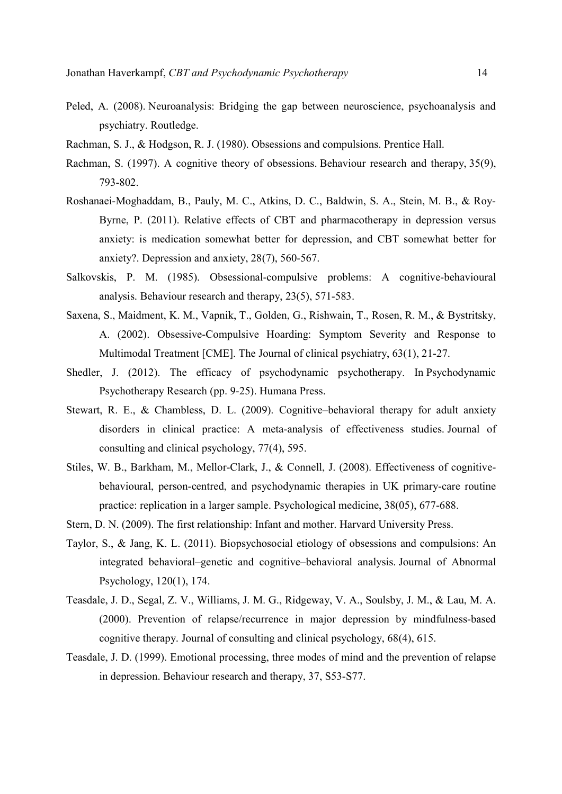- Peled, A. (2008). Neuroanalysis: Bridging the gap between neuroscience, psychoanalysis and psychiatry. Routledge.
- Rachman, S. J., & Hodgson, R. J. (1980). Obsessions and compulsions. Prentice Hall.
- Rachman, S. (1997). A cognitive theory of obsessions. Behaviour research and therapy, 35(9), 793-802.
- Roshanaei‐Moghaddam, B., Pauly, M. C., Atkins, D. C., Baldwin, S. A., Stein, M. B., & Roy‐ Byrne, P. (2011). Relative effects of CBT and pharmacotherapy in depression versus anxiety: is medication somewhat better for depression, and CBT somewhat better for anxiety?. Depression and anxiety, 28(7), 560-567.
- Salkovskis, P. M. (1985). Obsessional-compulsive problems: A cognitive-behavioural analysis. Behaviour research and therapy, 23(5), 571-583.
- Saxena, S., Maidment, K. M., Vapnik, T., Golden, G., Rishwain, T., Rosen, R. M., & Bystritsky, A. (2002). Obsessive-Compulsive Hoarding: Symptom Severity and Response to Multimodal Treatment [CME]. The Journal of clinical psychiatry, 63(1), 21-27.
- Shedler, J. (2012). The efficacy of psychodynamic psychotherapy. In Psychodynamic Psychotherapy Research (pp. 9-25). Humana Press.
- Stewart, R. E., & Chambless, D. L. (2009). Cognitive–behavioral therapy for adult anxiety disorders in clinical practice: A meta-analysis of effectiveness studies. Journal of consulting and clinical psychology, 77(4), 595.
- Stiles, W. B., Barkham, M., Mellor-Clark, J., & Connell, J. (2008). Effectiveness of cognitivebehavioural, person-centred, and psychodynamic therapies in UK primary-care routine practice: replication in a larger sample. Psychological medicine, 38(05), 677-688.
- Stern, D. N. (2009). The first relationship: Infant and mother. Harvard University Press.
- Taylor, S., & Jang, K. L. (2011). Biopsychosocial etiology of obsessions and compulsions: An integrated behavioral–genetic and cognitive–behavioral analysis. Journal of Abnormal Psychology, 120(1), 174.
- Teasdale, J. D., Segal, Z. V., Williams, J. M. G., Ridgeway, V. A., Soulsby, J. M., & Lau, M. A. (2000). Prevention of relapse/recurrence in major depression by mindfulness-based cognitive therapy. Journal of consulting and clinical psychology, 68(4), 615.
- Teasdale, J. D. (1999). Emotional processing, three modes of mind and the prevention of relapse in depression. Behaviour research and therapy, 37, S53-S77.